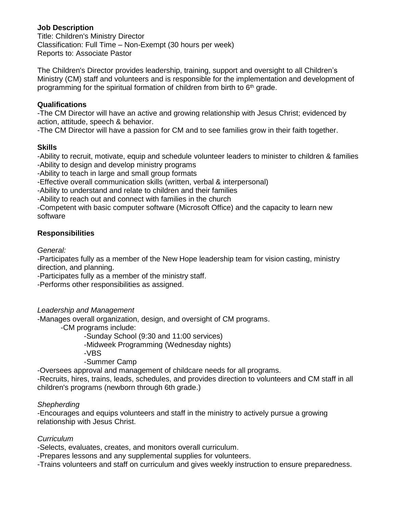# **Job Description**

Title: Children's Ministry Director Classification: Full Time – Non-Exempt (30 hours per week) Reports to: Associate Pastor

The Children's Director provides leadership, training, support and oversight to all Children's Ministry (CM) staff and volunteers and is responsible for the implementation and development of programming for the spiritual formation of children from birth to  $6<sup>th</sup>$  grade.

#### **Qualifications**

-The CM Director will have an active and growing relationship with Jesus Christ; evidenced by action, attitude, speech & behavior.

-The CM Director will have a passion for CM and to see families grow in their faith together.

#### **Skills**

-Ability to recruit, motivate, equip and schedule volunteer leaders to minister to children & families -Ability to design and develop ministry programs

-Ability to teach in large and small group formats

-Effective overall communication skills (written, verbal & interpersonal)

-Ability to understand and relate to children and their families

-Ability to reach out and connect with families in the church

-Competent with basic computer software (Microsoft Office) and the capacity to learn new software

# **Responsibilities**

*General:*

-Participates fully as a member of the New Hope leadership team for vision casting, ministry direction, and planning.

-Participates fully as a member of the ministry staff.

-Performs other responsibilities as assigned.

# *Leadership and Management*

-Manages overall organization, design, and oversight of CM programs.

-CM programs include:

-Sunday School (9:30 and 11:00 services)

-Midweek Programming (Wednesday nights)

-VBS

-Summer Camp

-Oversees approval and management of childcare needs for all programs.

-Recruits, hires, trains, leads, schedules, and provides direction to volunteers and CM staff in all children's programs (newborn through 6th grade.)

# *Shepherding*

-Encourages and equips volunteers and staff in the ministry to actively pursue a growing relationship with Jesus Christ.

# *Curriculum*

-Selects, evaluates, creates, and monitors overall curriculum.

-Prepares lessons and any supplemental supplies for volunteers.

-Trains volunteers and staff on curriculum and gives weekly instruction to ensure preparedness.